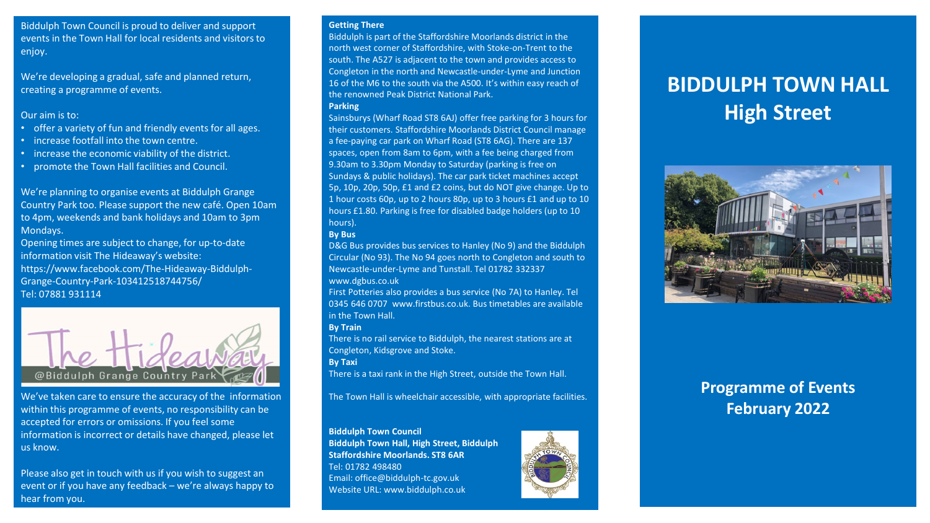Biddulph Town Council is proud to deliver and support events in the Town Hall for local residents and visitors to enjoy.

We're developing a gradual, safe and planned return, creating a programme of events.

#### Our aim is to:

- offer a variety of fun and friendly events for all ages.
- increase footfall into the town centre.
- increase the economic viability of the district.
- promote the Town Hall facilities and Council.

We're planning to organise events at Biddulph Grange Country Park too. Please support the new café. Open 10am to 4pm, weekends and bank holidays and 10am to 3pm Mondays.

Opening times are subject to change, for up-to-date information visit The Hideaway's website: https://www.facebook.com/The-Hideaway-Biddulph-Grange-Country-Park-103412518744756/ Tel: 07881 931114



We've taken care to ensure the accuracy of the information within this programme of events, no responsibility can be accepted for errors or omissions. If you feel some information is incorrect or details have changed, please let us know.

Please also get in touch with us if you wish to suggest an event or if you have any feedback – we're always happy to hear from you.

#### **Getting There**

Biddulph is part of the Staffordshire Moorlands district in the north west corner of Staffordshire, with Stoke-on-Trent to the south. The A527 is adjacent to the town and provides access to Congleton in the north and Newcastle-under-Lyme and Junction 16 of the M6 to the south via the A500. It's within easy reach of the renowned Peak District National Park. **Parking** 

Sainsburys (Wharf Road ST8 6AJ) offer free parking for 3 hours for their customers. Staffordshire Moorlands District Council manage a fee-paying car park on Wharf Road (ST8 6AG). There are 137 spaces, open from 8am to 6pm, with a fee being charged from 9.30am to 3.30pm Monday to Saturday (parking is free on Sundays & public holidays). The car park ticket machines accept 5p, 10p, 20p, 50p, £1 and £2 coins, but do NOT give change. Up to 1 hour costs 60p, up to 2 hours 80p, up to 3 hours £1 and up to 10 hours £1.80. Parking is free for disabled badge holders (up to 10 hours).

#### **By Bus**

D&G Bus provides bus services to Hanley (No 9) and the Biddulph Circular (No 93). The No 94 goes north to Congleton and south to Newcastle-under-Lyme and Tunstall. Tel 01782 332337 www.dgbus.co.uk

First Potteries also provides a bus service (No 7A) to Hanley. Tel 0345 646 0707 www.firstbus.co.uk. Bus timetables are available in the Town Hall.

#### **By Train**

There is no rail service to Biddulph, the nearest stations are at Congleton, Kidsgrove and Stoke.

**By Taxi** 

There is a taxi rank in the High Street, outside the Town Hall.

The Town Hall is wheelchair accessible, with appropriate facilities.

#### **Biddulph Town Council**

**Biddulph Town Hall, High Street, Biddulph Staffordshire Moorlands. ST8 6AR**  Tel: 01782 498480 Email: office@biddulph-tc.gov.uk Website URL: www.biddulph.co.uk



# **BIDDULPH TOWN HALL High Street**



# **Programme of Events February 2022**